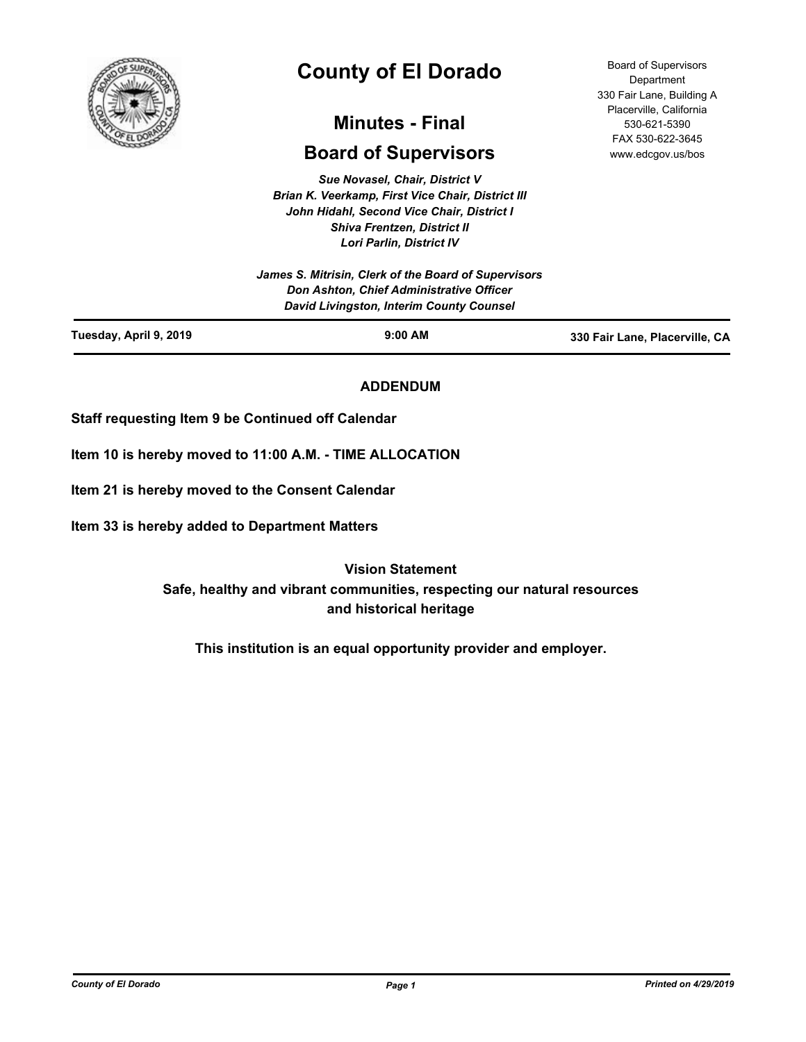

# **County of El Dorado**

## **Minutes - Final**

## **Board of Supervisors**

*Sue Novasel, Chair, District V Brian K. Veerkamp, First Vice Chair, District III John Hidahl, Second Vice Chair, District I Shiva Frentzen, District II Lori Parlin, District IV*

| Tuesday, April 9, 2019 | $9:00$ AM                                                                            | 330 Fair Lane, Placerville, CA |
|------------------------|--------------------------------------------------------------------------------------|--------------------------------|
|                        | Don Ashton, Chief Administrative Officer<br>David Livingston, Interim County Counsel |                                |
|                        | James S. Mitrisin, Clerk of the Board of Supervisors                                 |                                |

## **ADDENDUM**

**Staff requesting Item 9 be Continued off Calendar**

**Item 10 is hereby moved to 11:00 A.M. - TIME ALLOCATION**

**Item 21 is hereby moved to the Consent Calendar**

**Item 33 is hereby added to Department Matters**

**Vision Statement Safe, healthy and vibrant communities, respecting our natural resources and historical heritage**

**This institution is an equal opportunity provider and employer.**

Board of Supervisors **Department** 330 Fair Lane, Building A Placerville, California 530-621-5390 FAX 530-622-3645 www.edcgov.us/bos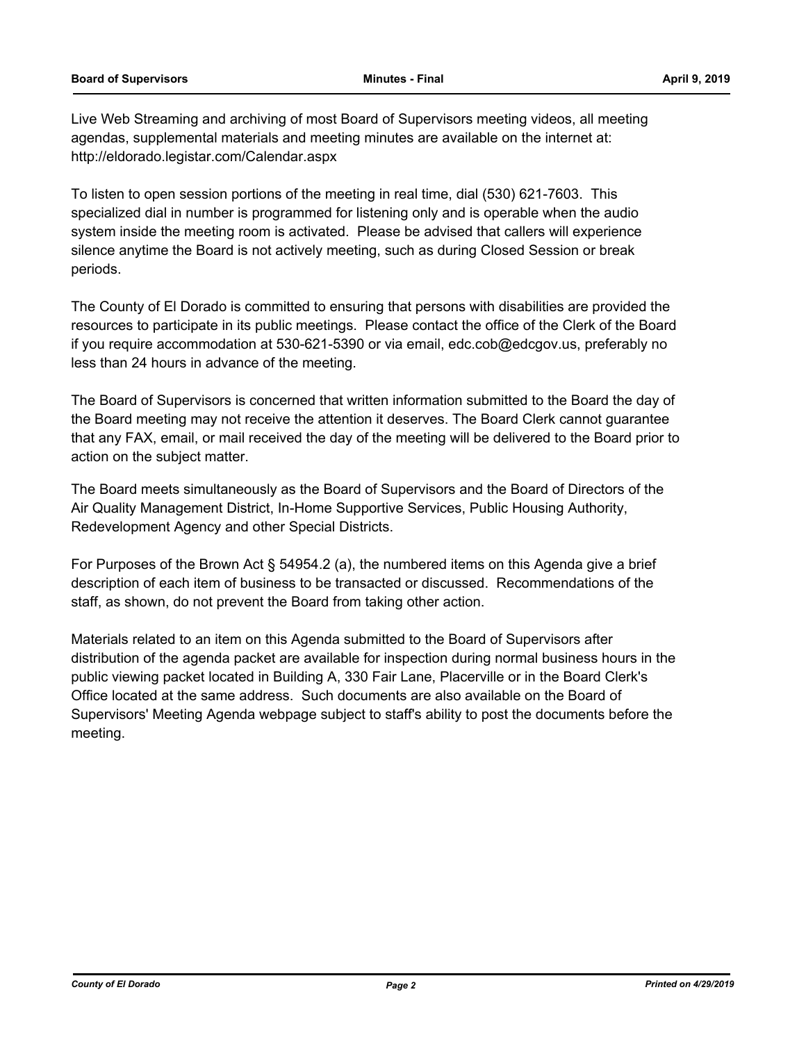Live Web Streaming and archiving of most Board of Supervisors meeting videos, all meeting agendas, supplemental materials and meeting minutes are available on the internet at: http://eldorado.legistar.com/Calendar.aspx

To listen to open session portions of the meeting in real time, dial (530) 621-7603. This specialized dial in number is programmed for listening only and is operable when the audio system inside the meeting room is activated. Please be advised that callers will experience silence anytime the Board is not actively meeting, such as during Closed Session or break periods.

The County of El Dorado is committed to ensuring that persons with disabilities are provided the resources to participate in its public meetings. Please contact the office of the Clerk of the Board if you require accommodation at 530-621-5390 or via email, edc.cob@edcgov.us, preferably no less than 24 hours in advance of the meeting.

The Board of Supervisors is concerned that written information submitted to the Board the day of the Board meeting may not receive the attention it deserves. The Board Clerk cannot guarantee that any FAX, email, or mail received the day of the meeting will be delivered to the Board prior to action on the subject matter.

The Board meets simultaneously as the Board of Supervisors and the Board of Directors of the Air Quality Management District, In-Home Supportive Services, Public Housing Authority, Redevelopment Agency and other Special Districts.

For Purposes of the Brown Act § 54954.2 (a), the numbered items on this Agenda give a brief description of each item of business to be transacted or discussed. Recommendations of the staff, as shown, do not prevent the Board from taking other action.

Materials related to an item on this Agenda submitted to the Board of Supervisors after distribution of the agenda packet are available for inspection during normal business hours in the public viewing packet located in Building A, 330 Fair Lane, Placerville or in the Board Clerk's Office located at the same address. Such documents are also available on the Board of Supervisors' Meeting Agenda webpage subject to staff's ability to post the documents before the meeting.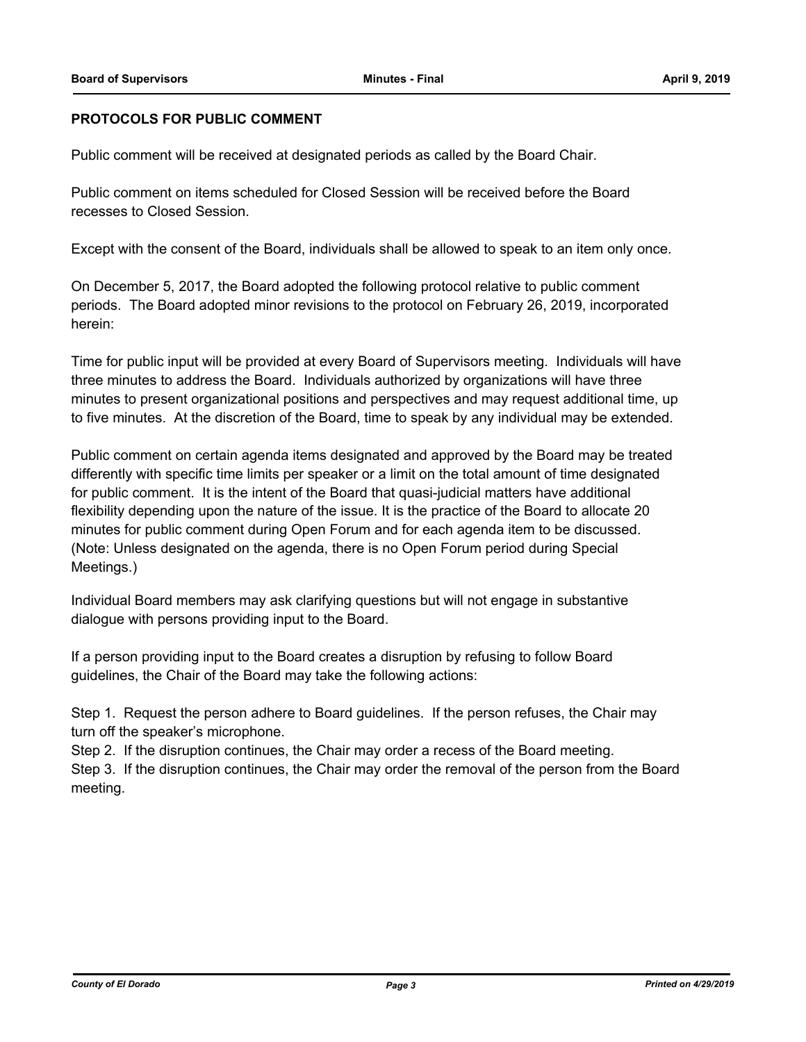## **PROTOCOLS FOR PUBLIC COMMENT**

Public comment will be received at designated periods as called by the Board Chair.

Public comment on items scheduled for Closed Session will be received before the Board recesses to Closed Session.

Except with the consent of the Board, individuals shall be allowed to speak to an item only once.

On December 5, 2017, the Board adopted the following protocol relative to public comment periods. The Board adopted minor revisions to the protocol on February 26, 2019, incorporated herein:

Time for public input will be provided at every Board of Supervisors meeting. Individuals will have three minutes to address the Board. Individuals authorized by organizations will have three minutes to present organizational positions and perspectives and may request additional time, up to five minutes. At the discretion of the Board, time to speak by any individual may be extended.

Public comment on certain agenda items designated and approved by the Board may be treated differently with specific time limits per speaker or a limit on the total amount of time designated for public comment. It is the intent of the Board that quasi-judicial matters have additional flexibility depending upon the nature of the issue. It is the practice of the Board to allocate 20 minutes for public comment during Open Forum and for each agenda item to be discussed. (Note: Unless designated on the agenda, there is no Open Forum period during Special Meetings.)

Individual Board members may ask clarifying questions but will not engage in substantive dialogue with persons providing input to the Board.

If a person providing input to the Board creates a disruption by refusing to follow Board guidelines, the Chair of the Board may take the following actions:

Step 1. Request the person adhere to Board guidelines. If the person refuses, the Chair may turn off the speaker's microphone.

Step 2. If the disruption continues, the Chair may order a recess of the Board meeting.

Step 3. If the disruption continues, the Chair may order the removal of the person from the Board meeting.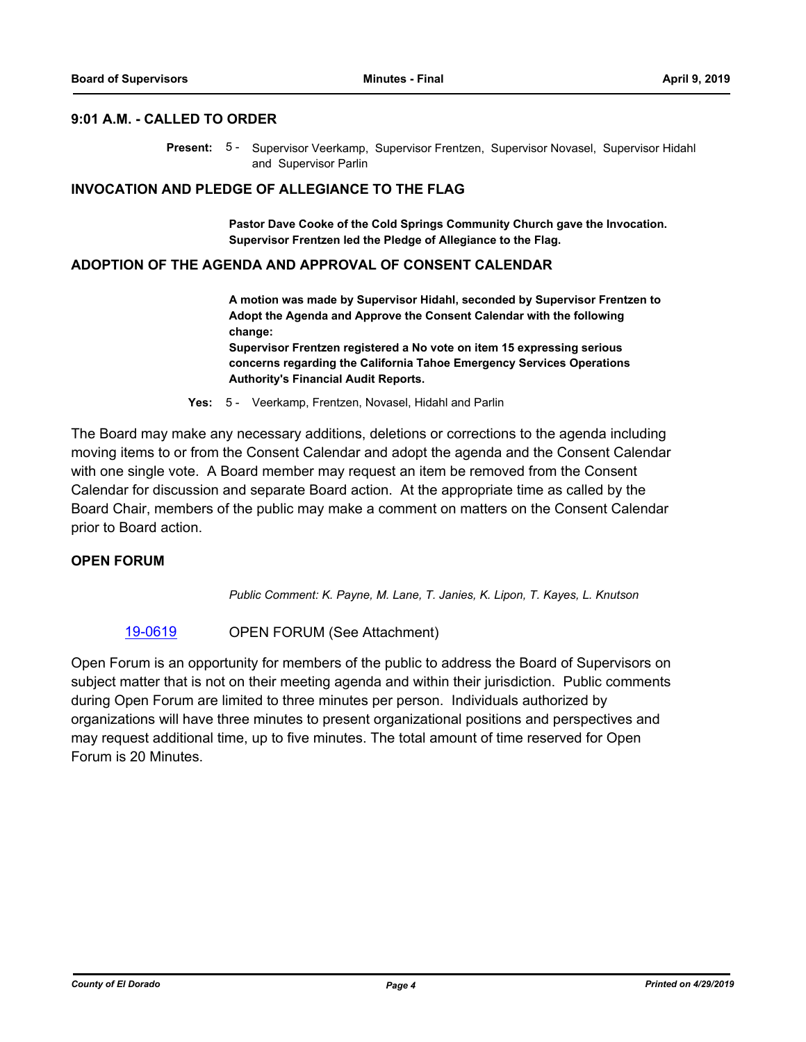#### **9:01 A.M. - CALLED TO ORDER**

Present: 5 - Supervisor Veerkamp, Supervisor Frentzen, Supervisor Novasel, Supervisor Hidahl and Supervisor Parlin

### **INVOCATION AND PLEDGE OF ALLEGIANCE TO THE FLAG**

**Pastor Dave Cooke of the Cold Springs Community Church gave the Invocation. Supervisor Frentzen led the Pledge of Allegiance to the Flag.**

#### **ADOPTION OF THE AGENDA AND APPROVAL OF CONSENT CALENDAR**

**A motion was made by Supervisor Hidahl, seconded by Supervisor Frentzen to Adopt the Agenda and Approve the Consent Calendar with the following change: Supervisor Frentzen registered a No vote on item 15 expressing serious** 

**concerns regarding the California Tahoe Emergency Services Operations Authority's Financial Audit Reports.**

**Yes:** 5 - Veerkamp, Frentzen, Novasel, Hidahl and Parlin

The Board may make any necessary additions, deletions or corrections to the agenda including moving items to or from the Consent Calendar and adopt the agenda and the Consent Calendar with one single vote. A Board member may request an item be removed from the Consent Calendar for discussion and separate Board action. At the appropriate time as called by the Board Chair, members of the public may make a comment on matters on the Consent Calendar prior to Board action.

## **OPEN FORUM**

*Public Comment: K. Payne, M. Lane, T. Janies, K. Lipon, T. Kayes, L. Knutson*

[19-0619](http://eldorado.legistar.com/gateway.aspx?m=l&id=/matter.aspx?key=25940) OPEN FORUM (See Attachment)

Open Forum is an opportunity for members of the public to address the Board of Supervisors on subject matter that is not on their meeting agenda and within their jurisdiction. Public comments during Open Forum are limited to three minutes per person. Individuals authorized by organizations will have three minutes to present organizational positions and perspectives and may request additional time, up to five minutes. The total amount of time reserved for Open Forum is 20 Minutes.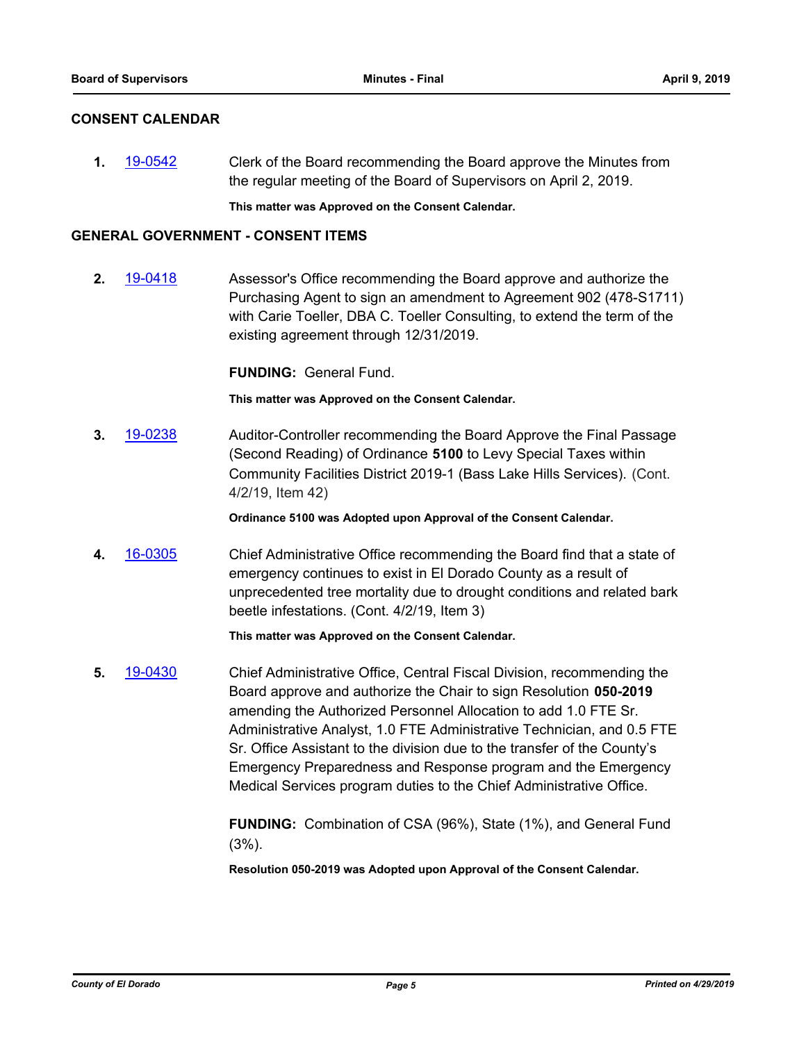## **CONSENT CALENDAR**

**1.** [19-0542](http://eldorado.legistar.com/gateway.aspx?m=l&id=/matter.aspx?key=25863) Clerk of the Board recommending the Board approve the Minutes from the regular meeting of the Board of Supervisors on April 2, 2019.

**This matter was Approved on the Consent Calendar.**

## **GENERAL GOVERNMENT - CONSENT ITEMS**

**2.** [19-0418](http://eldorado.legistar.com/gateway.aspx?m=l&id=/matter.aspx?key=25739) Assessor's Office recommending the Board approve and authorize the Purchasing Agent to sign an amendment to Agreement 902 (478-S1711) with Carie Toeller, DBA C. Toeller Consulting, to extend the term of the existing agreement through 12/31/2019.

**FUNDING:** General Fund.

**This matter was Approved on the Consent Calendar.**

**3.** [19-0238](http://eldorado.legistar.com/gateway.aspx?m=l&id=/matter.aspx?key=25559) Auditor-Controller recommending the Board Approve the Final Passage (Second Reading) of Ordinance **5100** to Levy Special Taxes within Community Facilities District 2019-1 (Bass Lake Hills Services). (Cont. 4/2/19, Item 42)

**Ordinance 5100 was Adopted upon Approval of the Consent Calendar.**

**4.** [16-0305](http://eldorado.legistar.com/gateway.aspx?m=l&id=/matter.aspx?key=20961) Chief Administrative Office recommending the Board find that a state of emergency continues to exist in El Dorado County as a result of unprecedented tree mortality due to drought conditions and related bark beetle infestations. (Cont. 4/2/19, Item 3)

## **This matter was Approved on the Consent Calendar.**

**5.** [19-0430](http://eldorado.legistar.com/gateway.aspx?m=l&id=/matter.aspx?key=25751) Chief Administrative Office, Central Fiscal Division, recommending the Board approve and authorize the Chair to sign Resolution **050-2019** amending the Authorized Personnel Allocation to add 1.0 FTE Sr. Administrative Analyst, 1.0 FTE Administrative Technician, and 0.5 FTE Sr. Office Assistant to the division due to the transfer of the County's Emergency Preparedness and Response program and the Emergency Medical Services program duties to the Chief Administrative Office.

> **FUNDING:** Combination of CSA (96%), State (1%), and General Fund (3%).

**Resolution 050-2019 was Adopted upon Approval of the Consent Calendar.**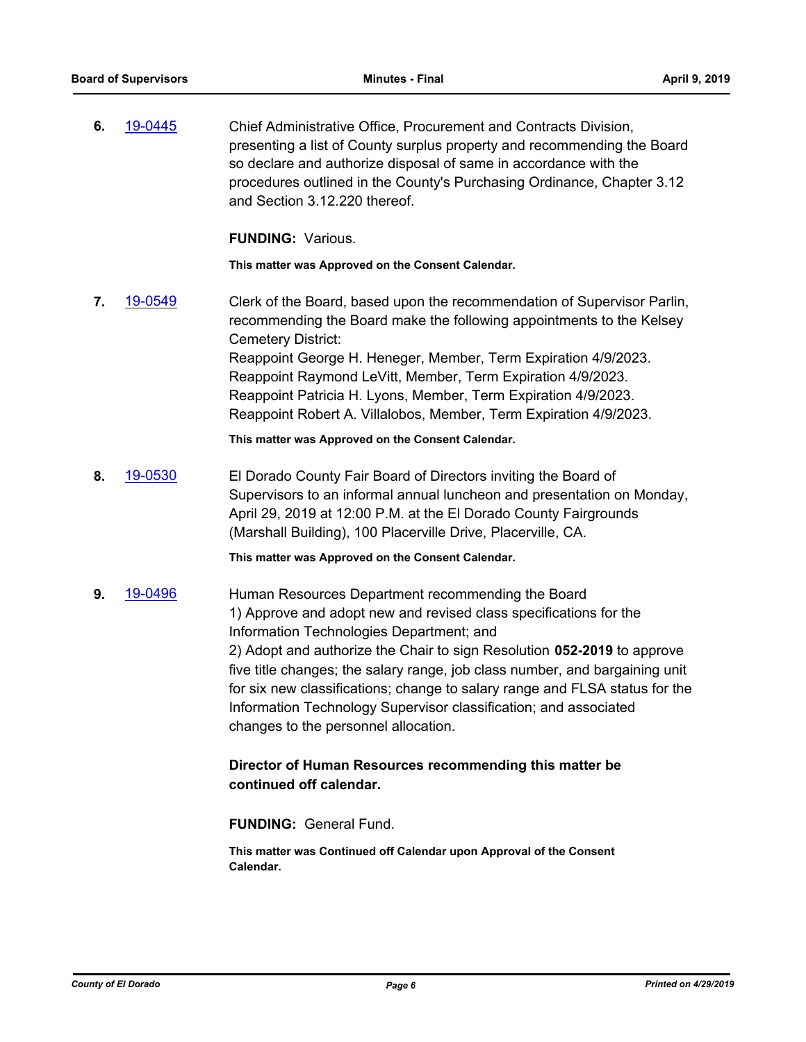**6.** [19-0445](http://eldorado.legistar.com/gateway.aspx?m=l&id=/matter.aspx?key=25766) Chief Administrative Office, Procurement and Contracts Division, presenting a list of County surplus property and recommending the Board so declare and authorize disposal of same in accordance with the procedures outlined in the County's Purchasing Ordinance, Chapter 3.12 and Section 3.12.220 thereof.

**FUNDING:** Various.

**This matter was Approved on the Consent Calendar.**

**7.** [19-0549](http://eldorado.legistar.com/gateway.aspx?m=l&id=/matter.aspx?key=25870) Clerk of the Board, based upon the recommendation of Supervisor Parlin, recommending the Board make the following appointments to the Kelsey Cemetery District: Reappoint George H. Heneger, Member, Term Expiration 4/9/2023. Reappoint Raymond LeVitt, Member, Term Expiration 4/9/2023. Reappoint Patricia H. Lyons, Member, Term Expiration 4/9/2023. Reappoint Robert A. Villalobos, Member, Term Expiration 4/9/2023.

**This matter was Approved on the Consent Calendar.**

**8.** [19-0530](http://eldorado.legistar.com/gateway.aspx?m=l&id=/matter.aspx?key=25851) El Dorado County Fair Board of Directors inviting the Board of Supervisors to an informal annual luncheon and presentation on Monday, April 29, 2019 at 12:00 P.M. at the El Dorado County Fairgrounds (Marshall Building), 100 Placerville Drive, Placerville, CA.

**This matter was Approved on the Consent Calendar.**

**9.** [19-0496](http://eldorado.legistar.com/gateway.aspx?m=l&id=/matter.aspx?key=25817) Human Resources Department recommending the Board 1) Approve and adopt new and revised class specifications for the Information Technologies Department; and 2) Adopt and authorize the Chair to sign Resolution **052-2019** to approve five title changes; the salary range, job class number, and bargaining unit for six new classifications; change to salary range and FLSA status for the Information Technology Supervisor classification; and associated changes to the personnel allocation.

## **Director of Human Resources recommending this matter be continued off calendar.**

**FUNDING:** General Fund.

**This matter was Continued off Calendar upon Approval of the Consent Calendar.**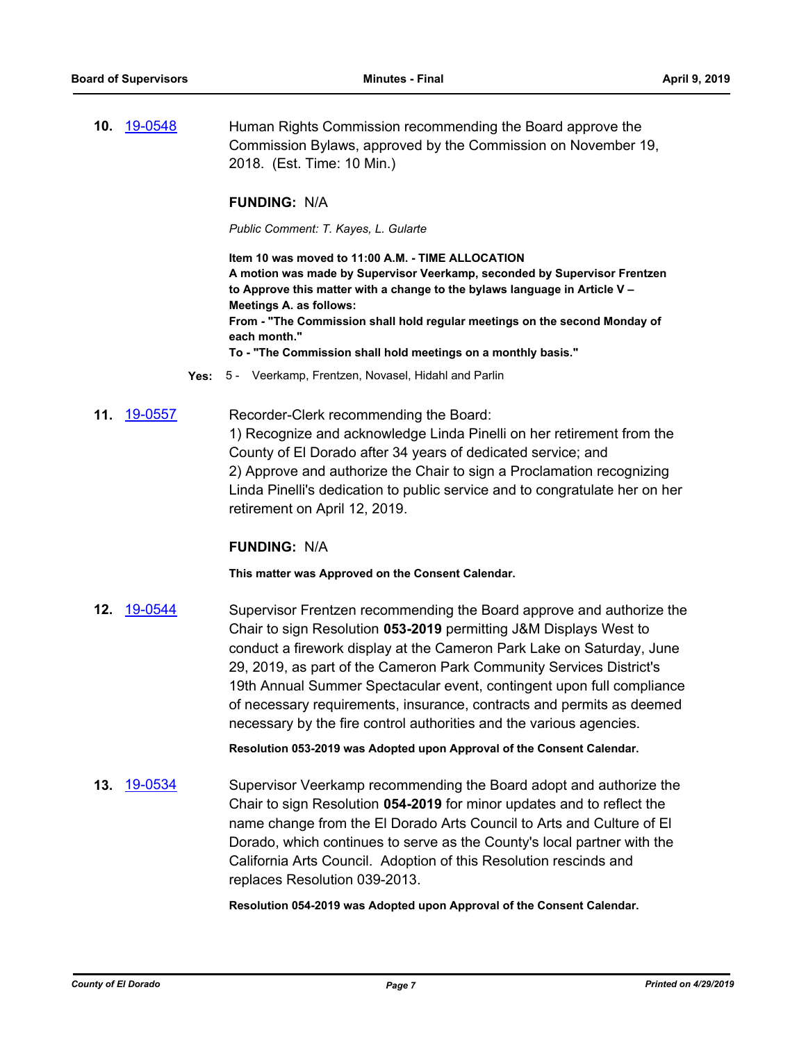**10.** [19-0548](http://eldorado.legistar.com/gateway.aspx?m=l&id=/matter.aspx?key=25869) Human Rights Commission recommending the Board approve the Commission Bylaws, approved by the Commission on November 19, 2018. (Est. Time: 10 Min.)

### **FUNDING:** N/A

*Public Comment: T. Kayes, L. Gularte*

**Item 10 was moved to 11:00 A.M. - TIME ALLOCATION A motion was made by Supervisor Veerkamp, seconded by Supervisor Frentzen to Approve this matter with a change to the bylaws language in Article V – Meetings A. as follows: From - "The Commission shall hold regular meetings on the second Monday of each month." To - "The Commission shall hold meetings on a monthly basis."**

- **Yes:** 5 Veerkamp, Frentzen, Novasel, Hidahl and Parlin
- **11.** [19-0557](http://eldorado.legistar.com/gateway.aspx?m=l&id=/matter.aspx?key=25878) Recorder-Clerk recommending the Board: 1) Recognize and acknowledge Linda Pinelli on her retirement from the County of El Dorado after 34 years of dedicated service; and 2) Approve and authorize the Chair to sign a Proclamation recognizing Linda Pinelli's dedication to public service and to congratulate her on her retirement on April 12, 2019.

#### **FUNDING:** N/A

**This matter was Approved on the Consent Calendar.**

**12.** [19-0544](http://eldorado.legistar.com/gateway.aspx?m=l&id=/matter.aspx?key=25865) Supervisor Frentzen recommending the Board approve and authorize the Chair to sign Resolution **053-2019** permitting J&M Displays West to conduct a firework display at the Cameron Park Lake on Saturday, June 29, 2019, as part of the Cameron Park Community Services District's 19th Annual Summer Spectacular event, contingent upon full compliance of necessary requirements, insurance, contracts and permits as deemed necessary by the fire control authorities and the various agencies.

**Resolution 053-2019 was Adopted upon Approval of the Consent Calendar.**

**13.** [19-0534](http://eldorado.legistar.com/gateway.aspx?m=l&id=/matter.aspx?key=25855) Supervisor Veerkamp recommending the Board adopt and authorize the Chair to sign Resolution **054-2019** for minor updates and to reflect the name change from the El Dorado Arts Council to Arts and Culture of El Dorado, which continues to serve as the County's local partner with the California Arts Council. Adoption of this Resolution rescinds and replaces Resolution 039-2013.

**Resolution 054-2019 was Adopted upon Approval of the Consent Calendar.**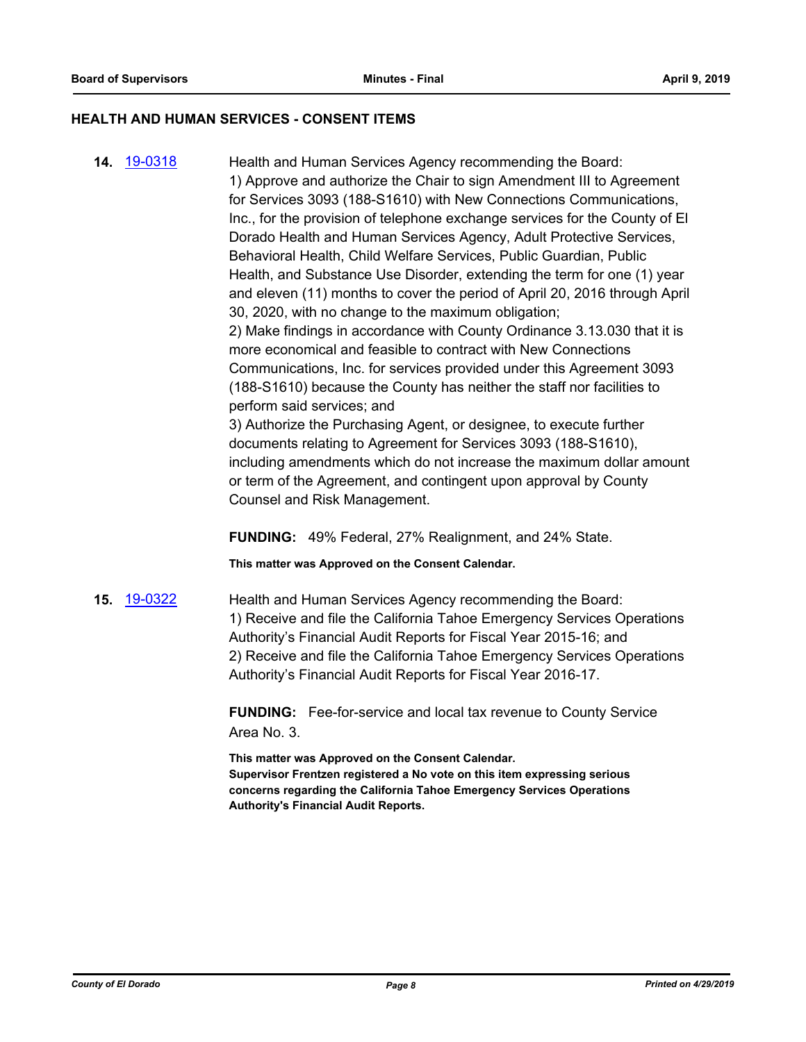#### **HEALTH AND HUMAN SERVICES - CONSENT ITEMS**

**14.** [19-0318](http://eldorado.legistar.com/gateway.aspx?m=l&id=/matter.aspx?key=25639) Health and Human Services Agency recommending the Board: 1) Approve and authorize the Chair to sign Amendment III to Agreement for Services 3093 (188-S1610) with New Connections Communications, Inc., for the provision of telephone exchange services for the County of El Dorado Health and Human Services Agency, Adult Protective Services, Behavioral Health, Child Welfare Services, Public Guardian, Public Health, and Substance Use Disorder, extending the term for one (1) year and eleven (11) months to cover the period of April 20, 2016 through April 30, 2020, with no change to the maximum obligation; 2) Make findings in accordance with County Ordinance 3.13.030 that it is more economical and feasible to contract with New Connections Communications, Inc. for services provided under this Agreement 3093 (188-S1610) because the County has neither the staff nor facilities to perform said services; and 3) Authorize the Purchasing Agent, or designee, to execute further documents relating to Agreement for Services 3093 (188-S1610), including amendments which do not increase the maximum dollar amount or term of the Agreement, and contingent upon approval by County Counsel and Risk Management.

**FUNDING:** 49% Federal, 27% Realignment, and 24% State.

**This matter was Approved on the Consent Calendar.**

**15.** [19-0322](http://eldorado.legistar.com/gateway.aspx?m=l&id=/matter.aspx?key=25643) Health and Human Services Agency recommending the Board: 1) Receive and file the California Tahoe Emergency Services Operations Authority's Financial Audit Reports for Fiscal Year 2015-16; and 2) Receive and file the California Tahoe Emergency Services Operations Authority's Financial Audit Reports for Fiscal Year 2016-17.

> **FUNDING:** Fee-for-service and local tax revenue to County Service Area No. 3.

**This matter was Approved on the Consent Calendar. Supervisor Frentzen registered a No vote on this item expressing serious concerns regarding the California Tahoe Emergency Services Operations Authority's Financial Audit Reports.**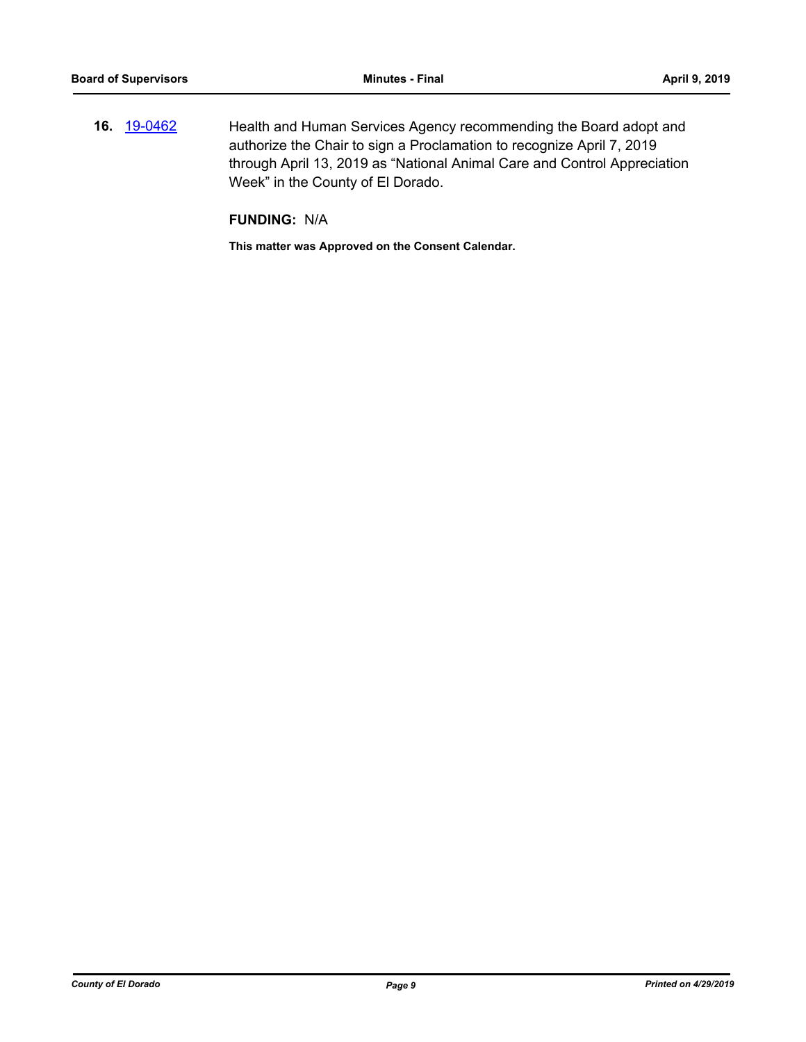**16.** [19-0462](http://eldorado.legistar.com/gateway.aspx?m=l&id=/matter.aspx?key=25783) Health and Human Services Agency recommending the Board adopt and authorize the Chair to sign a Proclamation to recognize April 7, 2019 through April 13, 2019 as "National Animal Care and Control Appreciation Week" in the County of El Dorado.

## **FUNDING:** N/A

**This matter was Approved on the Consent Calendar.**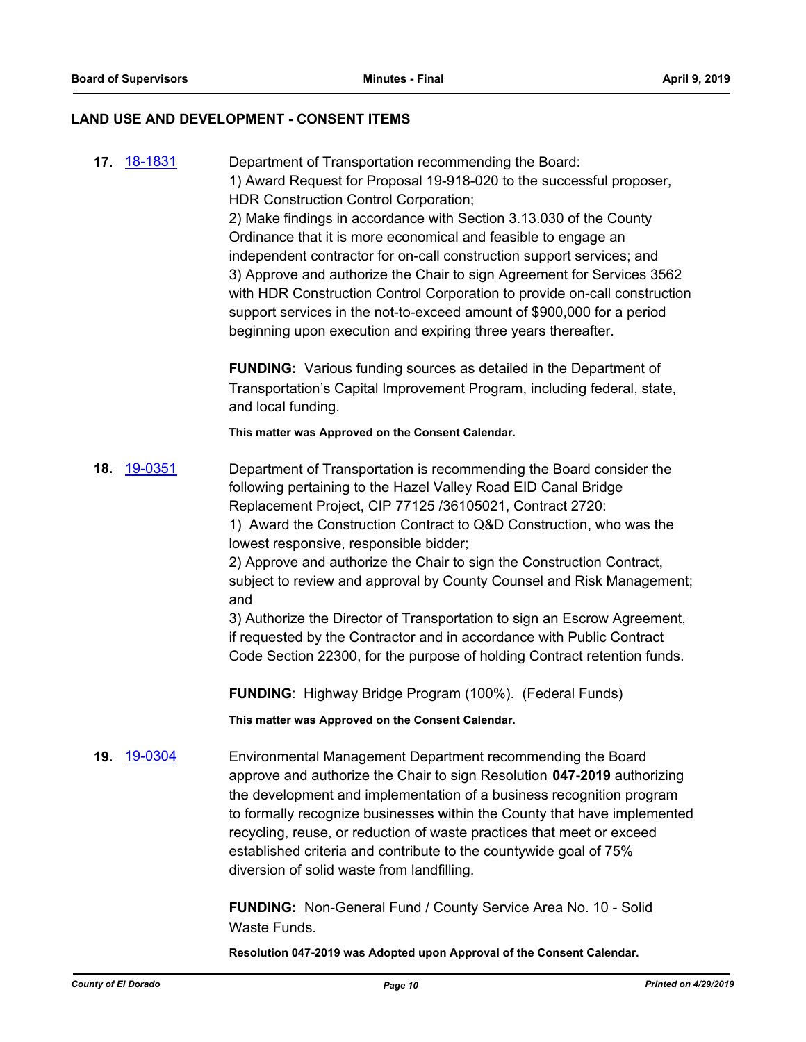#### **LAND USE AND DEVELOPMENT - CONSENT ITEMS**

**17.** [18-1831](http://eldorado.legistar.com/gateway.aspx?m=l&id=/matter.aspx?key=25182) Department of Transportation recommending the Board: 1) Award Request for Proposal 19-918-020 to the successful proposer, HDR Construction Control Corporation; 2) Make findings in accordance with Section 3.13.030 of the County Ordinance that it is more economical and feasible to engage an independent contractor for on-call construction support services; and 3) Approve and authorize the Chair to sign Agreement for Services 3562 with HDR Construction Control Corporation to provide on-call construction support services in the not-to-exceed amount of \$900,000 for a period beginning upon execution and expiring three years thereafter. **FUNDING:** Various funding sources as detailed in the Department of Transportation's Capital Improvement Program, including federal, state, and local funding. **This matter was Approved on the Consent Calendar. 18.** [19-0351](http://eldorado.legistar.com/gateway.aspx?m=l&id=/matter.aspx?key=25672) Department of Transportation is recommending the Board consider the following pertaining to the Hazel Valley Road EID Canal Bridge Replacement Project, CIP 77125 /36105021, Contract 2720: 1) Award the Construction Contract to Q&D Construction, who was the lowest responsive, responsible bidder; 2) Approve and authorize the Chair to sign the Construction Contract, subject to review and approval by County Counsel and Risk Management; and 3) Authorize the Director of Transportation to sign an Escrow Agreement, if requested by the Contractor and in accordance with Public Contract Code Section 22300, for the purpose of holding Contract retention funds. **FUNDING**: Highway Bridge Program (100%). (Federal Funds) **This matter was Approved on the Consent Calendar. 19.** [19-0304](http://eldorado.legistar.com/gateway.aspx?m=l&id=/matter.aspx?key=25626) Environmental Management Department recommending the Board approve and authorize the Chair to sign Resolution **047-2019** authorizing the development and implementation of a business recognition program to formally recognize businesses within the County that have implemented recycling, reuse, or reduction of waste practices that meet or exceed

> **FUNDING:** Non-General Fund / County Service Area No. 10 - Solid Waste Funds.

**Resolution 047-2019 was Adopted upon Approval of the Consent Calendar.**

established criteria and contribute to the countywide goal of 75%

diversion of solid waste from landfilling.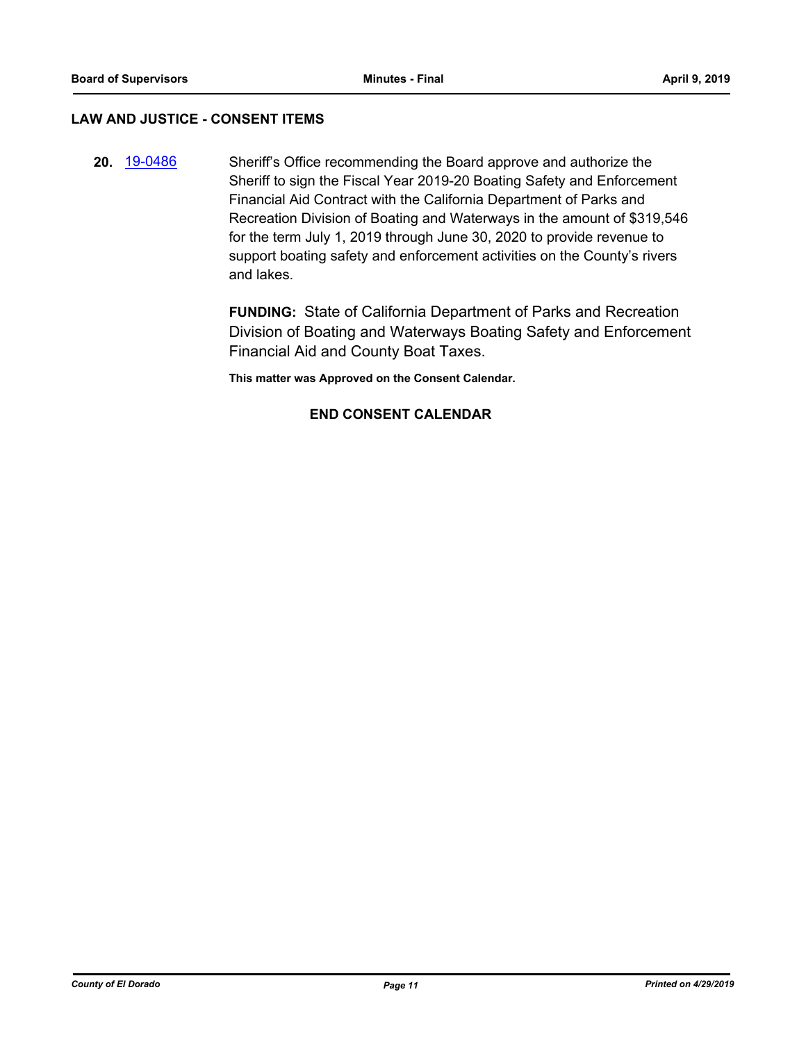## **LAW AND JUSTICE - CONSENT ITEMS**

**20.** [19-0486](http://eldorado.legistar.com/gateway.aspx?m=l&id=/matter.aspx?key=25807) Sheriff's Office recommending the Board approve and authorize the Sheriff to sign the Fiscal Year 2019-20 Boating Safety and Enforcement Financial Aid Contract with the California Department of Parks and Recreation Division of Boating and Waterways in the amount of \$319,546 for the term July 1, 2019 through June 30, 2020 to provide revenue to support boating safety and enforcement activities on the County's rivers and lakes.

> **FUNDING:** State of California Department of Parks and Recreation Division of Boating and Waterways Boating Safety and Enforcement Financial Aid and County Boat Taxes.

**This matter was Approved on the Consent Calendar.**

## **END CONSENT CALENDAR**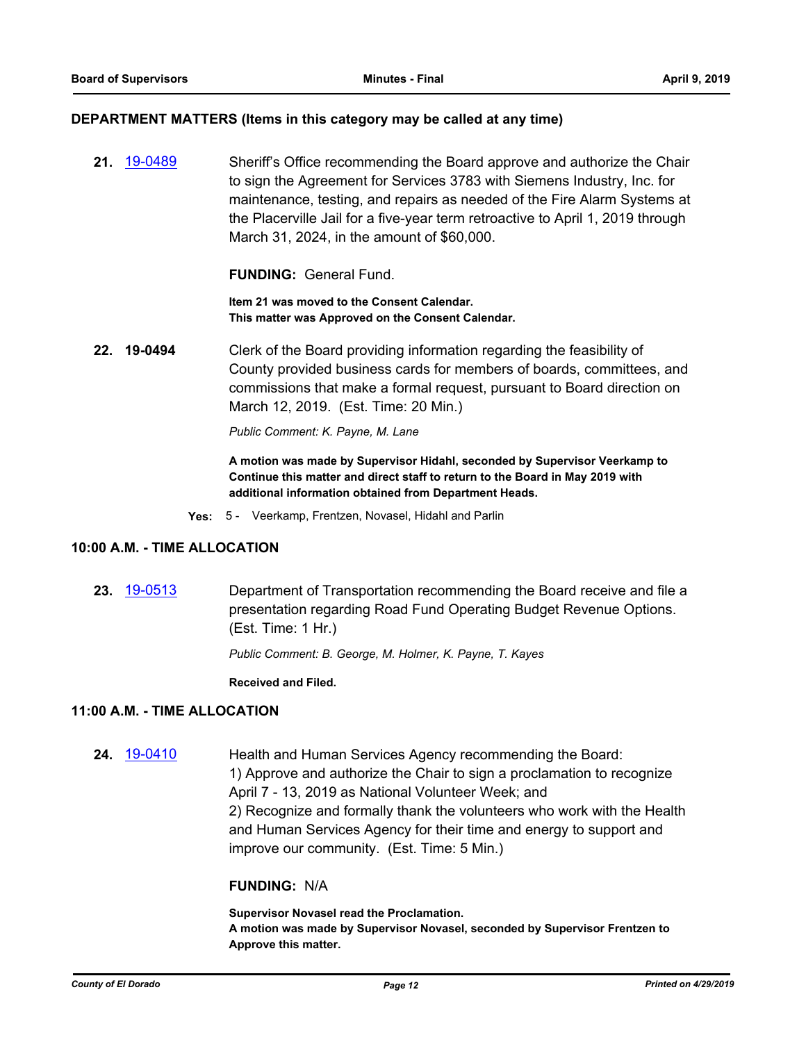#### **DEPARTMENT MATTERS (Items in this category may be called at any time)**

**21.** [19-0489](http://eldorado.legistar.com/gateway.aspx?m=l&id=/matter.aspx?key=25810) Sheriff's Office recommending the Board approve and authorize the Chair to sign the Agreement for Services 3783 with Siemens Industry, Inc. for maintenance, testing, and repairs as needed of the Fire Alarm Systems at the Placerville Jail for a five-year term retroactive to April 1, 2019 through March 31, 2024, in the amount of \$60,000.

**FUNDING:** General Fund.

**Item 21 was moved to the Consent Calendar. This matter was Approved on the Consent Calendar.**

**22. 19-0494** Clerk of the Board providing information regarding the feasibility of County provided business cards for members of boards, committees, and commissions that make a formal request, pursuant to Board direction on March 12, 2019. (Est. Time: 20 Min.)

*Public Comment: K. Payne, M. Lane*

**A motion was made by Supervisor Hidahl, seconded by Supervisor Veerkamp to Continue this matter and direct staff to return to the Board in May 2019 with additional information obtained from Department Heads.**

**Yes:** 5 - Veerkamp, Frentzen, Novasel, Hidahl and Parlin

#### **10:00 A.M. - TIME ALLOCATION**

**23.** [19-0513](http://eldorado.legistar.com/gateway.aspx?m=l&id=/matter.aspx?key=25834) Department of Transportation recommending the Board receive and file a presentation regarding Road Fund Operating Budget Revenue Options. (Est. Time: 1 Hr.)

*Public Comment: B. George, M. Holmer, K. Payne, T. Kayes*

**Received and Filed.**

## **11:00 A.M. - TIME ALLOCATION**

**24.** [19-0410](http://eldorado.legistar.com/gateway.aspx?m=l&id=/matter.aspx?key=25731) Health and Human Services Agency recommending the Board: 1) Approve and authorize the Chair to sign a proclamation to recognize April 7 - 13, 2019 as National Volunteer Week; and 2) Recognize and formally thank the volunteers who work with the Health and Human Services Agency for their time and energy to support and improve our community. (Est. Time: 5 Min.)

#### **FUNDING:** N/A

**Supervisor Novasel read the Proclamation. A motion was made by Supervisor Novasel, seconded by Supervisor Frentzen to Approve this matter.**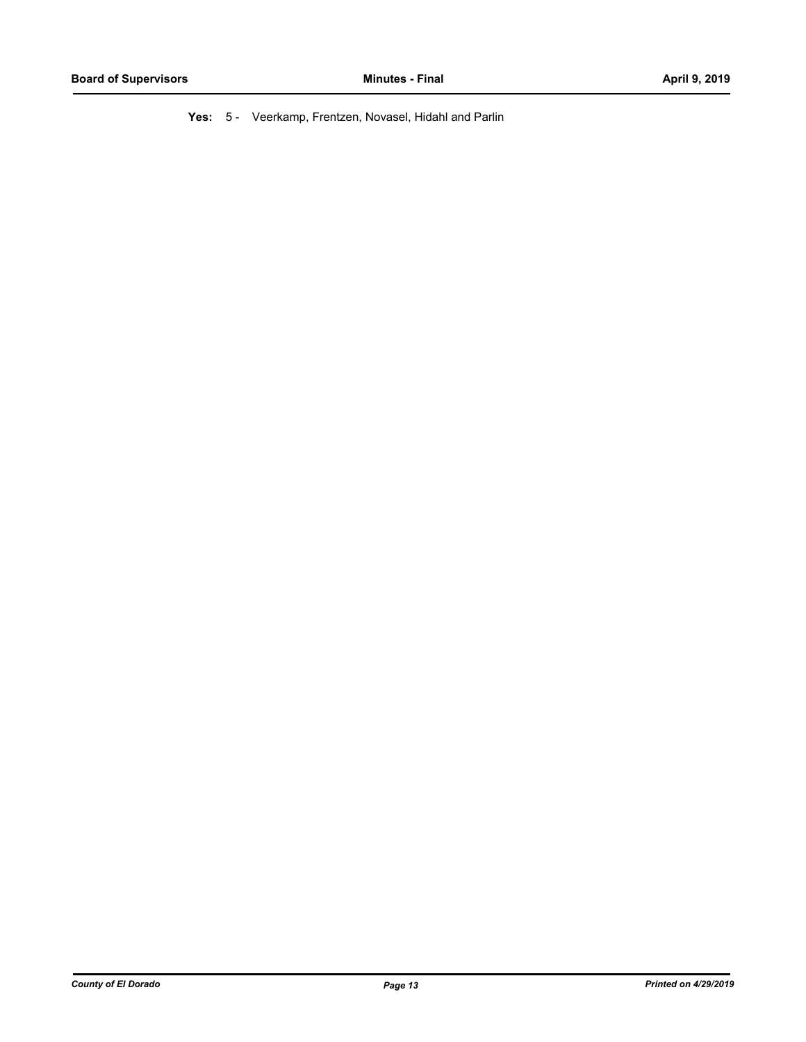**Yes:** 5 - Veerkamp, Frentzen, Novasel, Hidahl and Parlin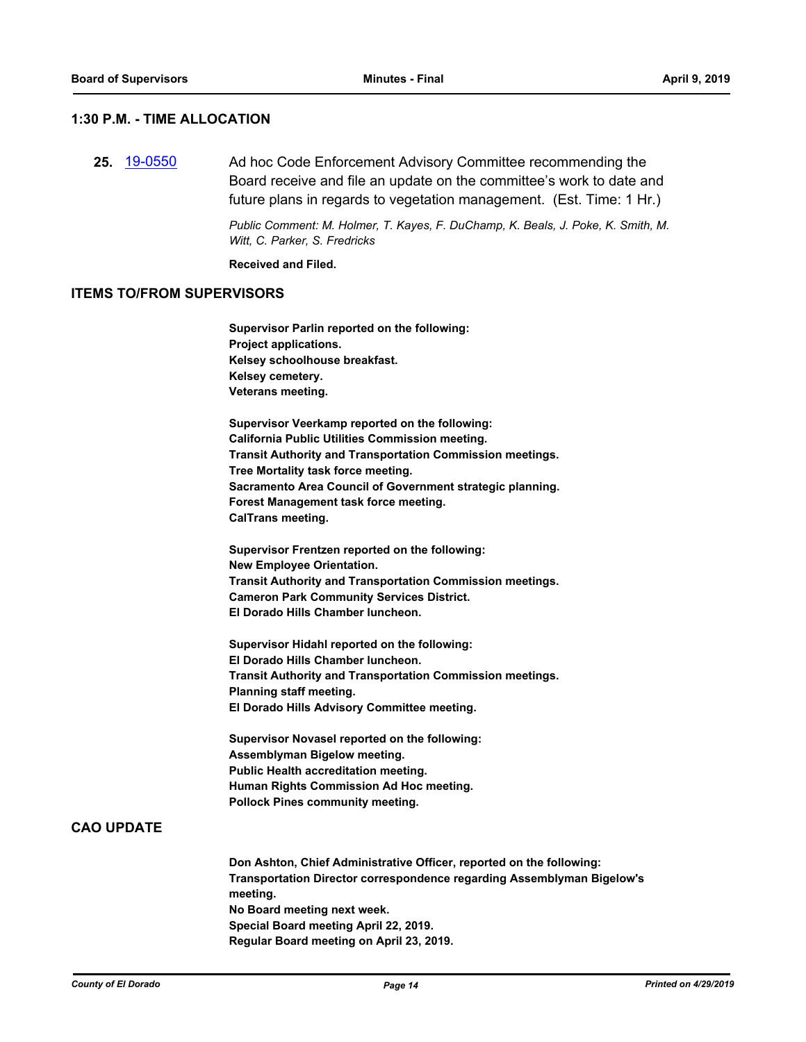## **1:30 P.M. - TIME ALLOCATION**

**25.** [19-0550](http://eldorado.legistar.com/gateway.aspx?m=l&id=/matter.aspx?key=25871) Ad hoc Code Enforcement Advisory Committee recommending the Board receive and file an update on the committee's work to date and future plans in regards to vegetation management. (Est. Time: 1 Hr.)

> *Public Comment: M. Holmer, T. Kayes, F. DuChamp, K. Beals, J. Poke, K. Smith, M. Witt, C. Parker, S. Fredricks*

**Received and Filed.**

#### **ITEMS TO/FROM SUPERVISORS**

| Supervisor Parlin reported on the following:                                       |
|------------------------------------------------------------------------------------|
| Project applications.                                                              |
| Kelsey schoolhouse breakfast.                                                      |
| Kelsey cemetery.                                                                   |
| Veterans meeting.                                                                  |
| Supervisor Veerkamp reported on the following:                                     |
| California Public Utilities Commission meeting.                                    |
| Transit Authority and Transportation Commission meetings.                          |
| Tree Mortality task force meeting.                                                 |
| Sacramento Area Council of Government strategic planning.                          |
| Forest Management task force meeting.                                              |
| CalTrans meeting.                                                                  |
| Supervisor Frentzen reported on the following:                                     |
| New Employee Orientation.                                                          |
| Transit Authority and Transportation Commission meetings.                          |
| <b>Cameron Park Community Services District.</b>                                   |
| El Dorado Hills Chamber luncheon.                                                  |
| Supervisor Hidahl reported on the following:                                       |
| El Dorado Hills Chamber luncheon.                                                  |
| Transit Authority and Transportation Commission meetings.                          |
| Planning staff meeting.                                                            |
| El Dorado Hills Advisory Committee meeting.                                        |
| Supervisor Novasel reported on the following:                                      |
| Assemblyman Bigelow meeting.                                                       |
| Public Health accreditation meeting.                                               |
| Human Rights Commission Ad Hoc meeting.                                            |
| <b>Pollock Pines community meeting.</b>                                            |
|                                                                                    |
| Don Ashton, Chief Administrative Officer, reported on the following:               |
| Transportation Director correspondence regarding Assemblyman Bigelow's<br>meeting. |
| والمحابر فوجعت سعائه معط امعمد المتحد                                              |

**No Board meeting next week.**

**Special Board meeting April 22, 2019. Regular Board meeting on April 23, 2019.**

**CAO UPDATE**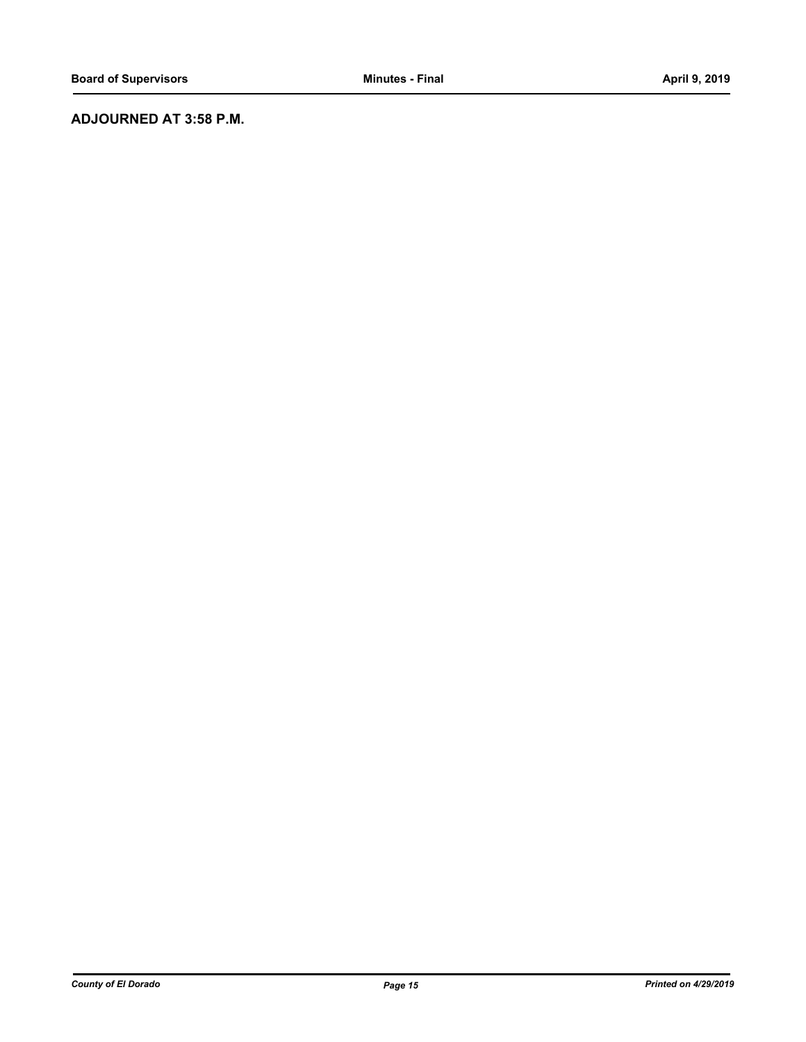## **ADJOURNED AT 3:58 P.M.**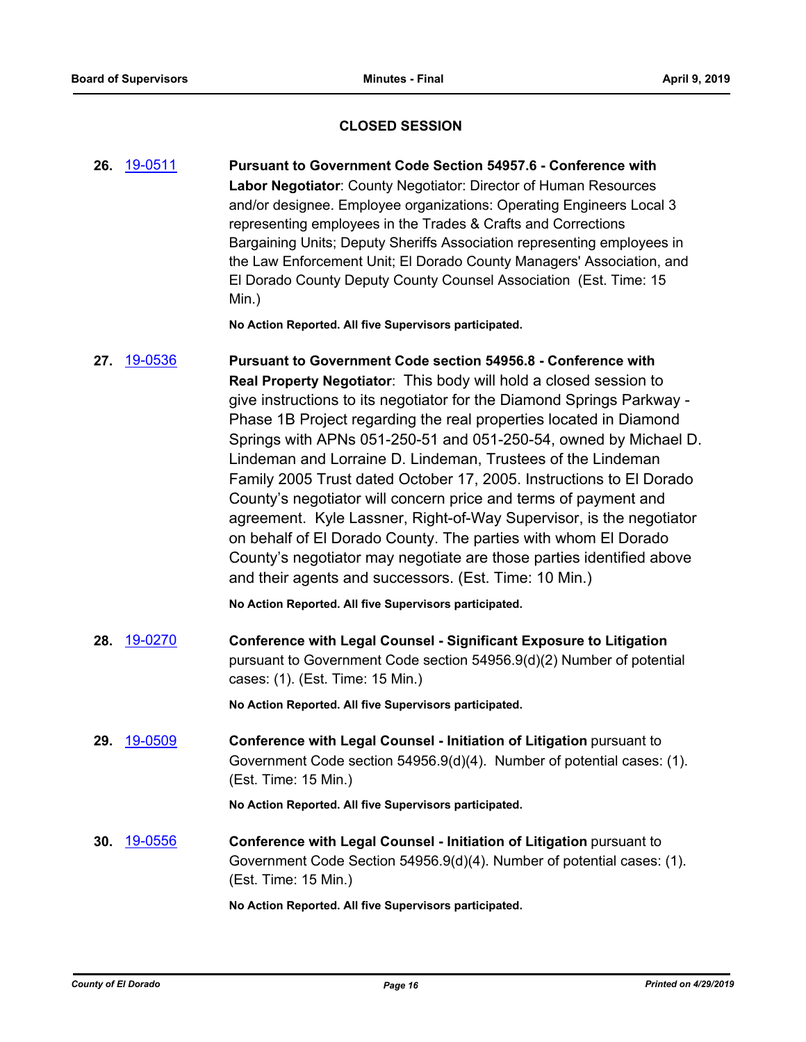## **CLOSED SESSION**

**26.** [19-0511](http://eldorado.legistar.com/gateway.aspx?m=l&id=/matter.aspx?key=25832) **Pursuant to Government Code Section 54957.6 - Conference with Labor Negotiator**: County Negotiator: Director of Human Resources and/or designee. Employee organizations: Operating Engineers Local 3 representing employees in the Trades & Crafts and Corrections Bargaining Units; Deputy Sheriffs Association representing employees in the Law Enforcement Unit; El Dorado County Managers' Association, and El Dorado County Deputy County Counsel Association (Est. Time: 15 Min.)

**No Action Reported. All five Supervisors participated.**

## **27.** [19-0536](http://eldorado.legistar.com/gateway.aspx?m=l&id=/matter.aspx?key=25857) **Pursuant to Government Code section 54956.8 - Conference with Real Property Negotiator**: This body will hold a closed session to give instructions to its negotiator for the Diamond Springs Parkway - Phase 1B Project regarding the real properties located in Diamond Springs with APNs 051-250-51 and 051-250-54, owned by Michael D. Lindeman and Lorraine D. Lindeman, Trustees of the Lindeman Family 2005 Trust dated October 17, 2005. Instructions to El Dorado County's negotiator will concern price and terms of payment and agreement. Kyle Lassner, Right-of-Way Supervisor, is the negotiator on behalf of El Dorado County. The parties with whom El Dorado County's negotiator may negotiate are those parties identified above and their agents and successors. (Est. Time: 10 Min.)

**No Action Reported. All five Supervisors participated.**

**28.** [19-0270](http://eldorado.legistar.com/gateway.aspx?m=l&id=/matter.aspx?key=25592) **Conference with Legal Counsel - Significant Exposure to Litigation** pursuant to Government Code section 54956.9(d)(2) Number of potential cases: (1). (Est. Time: 15 Min.)

**No Action Reported. All five Supervisors participated.**

**29.** [19-0509](http://eldorado.legistar.com/gateway.aspx?m=l&id=/matter.aspx?key=25830) **Conference with Legal Counsel - Initiation of Litigation** pursuant to Government Code section 54956.9(d)(4). Number of potential cases: (1). (Est. Time: 15 Min.)

**No Action Reported. All five Supervisors participated.**

**30.** [19-0556](http://eldorado.legistar.com/gateway.aspx?m=l&id=/matter.aspx?key=25877) **Conference with Legal Counsel - Initiation of Litigation** pursuant to Government Code Section 54956.9(d)(4). Number of potential cases: (1). (Est. Time: 15 Min.)

**No Action Reported. All five Supervisors participated.**